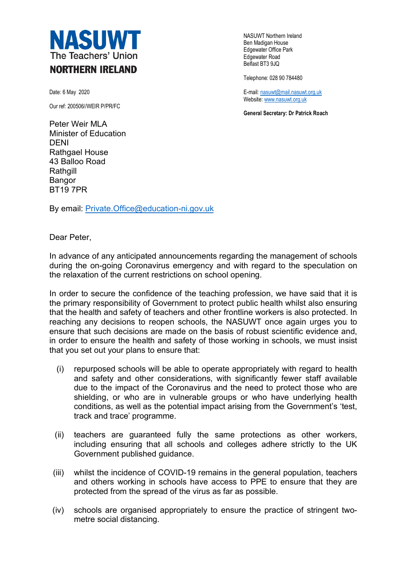

Date: 6 May 2020

Our ref: 200506//WEIR P/PR/FC

Peter Weir MLA Minister of Education DENI Rathgael House 43 Balloo Road **Rathgill** Bangor BT19 7PR

By email: Private.Office@education-ni.gov.uk

NASUWT Northern Ireland Ben Madigan House Edgewater Office Park Edgewater Road Belfast BT3 9JQ

Telephone: 028 90 784480

E-mail: nasuwt@mail.nasuwt.org.uk Website: www.nasuwt.org.uk

**General Secretary: Dr Patrick Roach**

Dear Peter,

In advance of any anticipated announcements regarding the management of schools during the on-going Coronavirus emergency and with regard to the speculation on the relaxation of the current restrictions on school opening.

In order to secure the confidence of the teaching profession, we have said that it is the primary responsibility of Government to protect public health whilst also ensuring that the health and safety of teachers and other frontline workers is also protected. In reaching any decisions to reopen schools, the NASUWT once again urges you to ensure that such decisions are made on the basis of robust scientific evidence and, in order to ensure the health and safety of those working in schools, we must insist that you set out your plans to ensure that:

- (i) repurposed schools will be able to operate appropriately with regard to health and safety and other considerations, with significantly fewer staff available due to the impact of the Coronavirus and the need to protect those who are shielding, or who are in vulnerable groups or who have underlying health conditions, as well as the potential impact arising from the Government's 'test, track and trace' programme.
- (ii) teachers are guaranteed fully the same protections as other workers, including ensuring that all schools and colleges adhere strictly to the UK Government published guidance.
- (iii) whilst the incidence of COVID-19 remains in the general population, teachers and others working in schools have access to PPE to ensure that they are protected from the spread of the virus as far as possible.
- (iv) schools are organised appropriately to ensure the practice of stringent twometre social distancing.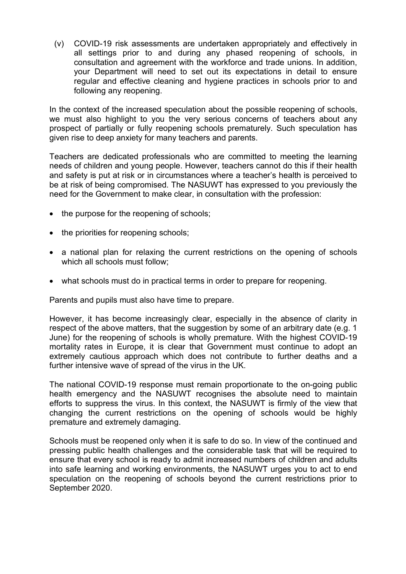(v) COVID-19 risk assessments are undertaken appropriately and effectively in all settings prior to and during any phased reopening of schools, in consultation and agreement with the workforce and trade unions. In addition, your Department will need to set out its expectations in detail to ensure regular and effective cleaning and hygiene practices in schools prior to and following any reopening.

In the context of the increased speculation about the possible reopening of schools, we must also highlight to you the very serious concerns of teachers about any prospect of partially or fully reopening schools prematurely. Such speculation has given rise to deep anxiety for many teachers and parents.

Teachers are dedicated professionals who are committed to meeting the learning needs of children and young people. However, teachers cannot do this if their health and safety is put at risk or in circumstances where a teacher's health is perceived to be at risk of being compromised. The NASUWT has expressed to you previously the need for the Government to make clear, in consultation with the profession:

- the purpose for the reopening of schools;
- the priorities for reopening schools;
- a national plan for relaxing the current restrictions on the opening of schools which all schools must follow;
- what schools must do in practical terms in order to prepare for reopening.

Parents and pupils must also have time to prepare.

However, it has become increasingly clear, especially in the absence of clarity in respect of the above matters, that the suggestion by some of an arbitrary date (e.g. 1 June) for the reopening of schools is wholly premature. With the highest COVID-19 mortality rates in Europe, it is clear that Government must continue to adopt an extremely cautious approach which does not contribute to further deaths and a further intensive wave of spread of the virus in the UK.

The national COVID-19 response must remain proportionate to the on-going public health emergency and the NASUWT recognises the absolute need to maintain efforts to suppress the virus. In this context, the NASUWT is firmly of the view that changing the current restrictions on the opening of schools would be highly premature and extremely damaging.

Schools must be reopened only when it is safe to do so. In view of the continued and pressing public health challenges and the considerable task that will be required to ensure that every school is ready to admit increased numbers of children and adults into safe learning and working environments, the NASUWT urges you to act to end speculation on the reopening of schools beyond the current restrictions prior to September 2020.